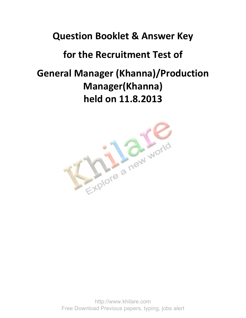### **Question Booklet & Answer Key**

## **for the Recruitment Test of**

# **General Manager (Khanna)/Production Manager(Khanna) held on 11.8.2013**

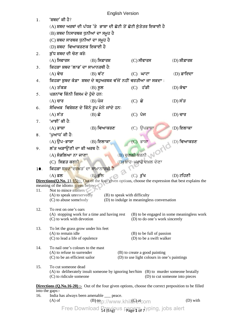|                                                                                                              | <b>English Version</b>                                                                                  |                                                                                       |                                                       |  |                                            |  |
|--------------------------------------------------------------------------------------------------------------|---------------------------------------------------------------------------------------------------------|---------------------------------------------------------------------------------------|-------------------------------------------------------|--|--------------------------------------------|--|
| 1.                                                                                                           | 'ਸ਼ਬਦ' ਕੀ ਹੈ?                                                                                           |                                                                                       |                                                       |  |                                            |  |
|                                                                                                              |                                                                                                         | (A) ਸ਼ਬਦ ਅਰਥਾਂ ਦੀ ਪੱਧਰ 'ਤੇ  ਭਾਸ਼ਾ ਦੀ ਛੋਟੀ ਤੋਂ ਛੋਟੀ ਸੁੰਤੰਤਰ ਇਕਾਈ ਹੈ                    |                                                       |  |                                            |  |
|                                                                                                              | (B) ਸ਼ਬਦ ਨਿਸਾਰਥਕ ਧੁਨੀਆਂ ਦਾ ਸਮੂਹ ਹੈ                                                                      |                                                                                       |                                                       |  |                                            |  |
|                                                                                                              | (C) ਸ਼ਬਦ ਸਾਰਥਕ ਧੁਨੀਆਂ ਦਾ ਸਮੂਹ ਹੈ                                                                        |                                                                                       |                                                       |  |                                            |  |
|                                                                                                              | (D) ਸ਼ਬਦ <b>ੀਵਆਕਰਣਕ ਇਕਾਈ</b> ਹੈ                                                                         |                                                                                       |                                                       |  |                                            |  |
| 2.                                                                                                           | ਸ਼ੱਧ ਸ਼ਬਦ ਦੀ ਚੋਣ ਕਰੋ:                                                                                   |                                                                                       |                                                       |  |                                            |  |
|                                                                                                              | $(A)$ ਸਿਫਾਰਸ<br>$(C)$ ਸੀਫਾਰਸ<br>$(B)$ ਸਿਫ਼ਾਰਸ਼<br>$(D)$ ਸ਼ੀਫ਼ਾਰਸ਼                                       |                                                                                       |                                                       |  |                                            |  |
| 3.                                                                                                           | ਕਿਹੜਾ ਸ਼ਬਦ 'ਲਾਭ' ਦਾ ਸਾਮਾਨਰਥੀ ਹੈ:                                                                        |                                                                                       |                                                       |  |                                            |  |
|                                                                                                              | $(B)$ ਵੱਟ<br>$(D)$ ਫ਼ਾਇਦਾ<br>$(A)$ ਵੇਚ<br>$(C)$ ਘਾਟਾ                                                    |                                                                                       |                                                       |  |                                            |  |
| 4.                                                                                                           | ਕਿਹੜਾ ਸ਼ੁਬਦ ਕੰਡਾ ਸ਼ਬਦ ਦੇ ਬਹੁਅਰਥਕ ਵੱਜੋਂ ਨਹੀਂ ਵਰਤੀਆ ਜਾ ਸਕਦਾ :                                             |                                                                                       |                                                       |  |                                            |  |
|                                                                                                              | $(A)$ ਤੱਕੜ                                                                                              | $(B)$ ਸੁਲ                                                                             | $(C)$ ਹੱਡੀ                                            |  | $(D)$ ਕੰਢਾ                                 |  |
| 5.                                                                                                           | ਪੜਨਾਂਵ ਕਿੰਨੀ ਕਿਸਮ ਦੇ ਹੁੰਦੇ ਹਨ:                                                                          |                                                                                       |                                                       |  |                                            |  |
|                                                                                                              | $(A)$ ਚਾਰ                                                                                               | $(B)$ ਪੰਜ                                                                             | $(C)$ ਛੇ                                              |  | $(D)$ ਸੱਤ                                  |  |
| 6.                                                                                                           | ਸੈਖਿਅਕ ਵਿਸ਼ੇਸ਼ਣ ਦੇ ਕਿੰਨੇ ਰੂਪ ਮੈਨੇ ਜਾਂਦੇ ਹਨः                                                             |                                                                                       |                                                       |  |                                            |  |
|                                                                                                              | $(A)$ ਸੱਤ                                                                                               | $(B)$ ਛੇ                                                                              | $(C)$ ਪੰਜ                                             |  | $(D)$ ਚਾਰ                                  |  |
| 7.                                                                                                           | 'ਮਾਝੀ' ਕੀ ਹੈ:                                                                                           |                                                                                       |                                                       |  |                                            |  |
|                                                                                                              | $(A)$ ਭਾਸ਼ਾ                                                                                             | $(B)$ ਵਿਆਕਰਣ                                                                          | $(C)$ ਉਪਭਾਸ਼ਾ                                         |  | (D) ਇਲਾਕਾ                                  |  |
| 8.                                                                                                           | 'ਪਆਧ' ਕੀ ਹੈ:                                                                                            |                                                                                       |                                                       |  |                                            |  |
|                                                                                                              | $(A)$ ੳਪ–ਭਾਸ਼ਾ                                                                                          | $(B)$ ਇਲਾਕਾ                                                                           | $(C)$ ਭਾਸ਼ਾ                                           |  | IOMO (D) ਵਿਆਕਰਣ                            |  |
| 9.                                                                                                           | ਲੱਤ ਅੜਾਉਂਣੀ ਦਾ ਕੀ ਅਰਥ ਹੈ:                                                                               |                                                                                       |                                                       |  |                                            |  |
|                                                                                                              | (A) ਸੰਭਲਿਆ ਨਾ ਜਾਣਾ                                                                                      |                                                                                       | (B) ਚੁਗਲੀ ਕਰਨੀ                                        |  |                                            |  |
|                                                                                                              | (C) ਸਿਫ਼ਤ ਕਰਨ <mark>ੀ</mark>                                                                            |                                                                                       | (D) ਖ਼ਾਹ-ਮਖ਼ਾਹ ਦਖ਼ਲ ਦੇਣਾ                              |  |                                            |  |
| 10.                                                                                                          | ਕਿਹੜਾ ਸ਼ਬਦ 'ਦਰਖ਼ਤ' ਦਾ ਸਾਮਾਨਾਰਥੀ ਹੈ:                                                                     |                                                                                       |                                                       |  |                                            |  |
|                                                                                                              | $(A)$ ਫ਼ਲ                                                                                               | $(B)$ ਫੁੱਲ                                                                            | $(C)$ ਰੁੱਖ                                            |  | $(D)$ ਟਹਿਣੀ                                |  |
| <b>Directions(Q.No. 11-15):-</b> Out of the four given options, choose the expression that best explains the |                                                                                                         |                                                                                       |                                                       |  |                                            |  |
| 11.                                                                                                          | meaning of the idioms given below:-<br>Not to mince matters                                             |                                                                                       |                                                       |  |                                            |  |
|                                                                                                              | (A) to speak unreservedly<br>(B) to speak with difficulty<br>(D) to indulge in meaningless conversation |                                                                                       |                                                       |  |                                            |  |
|                                                                                                              | (C) to abuse somebody                                                                                   |                                                                                       |                                                       |  |                                            |  |
| 12.                                                                                                          | To rest on one's oars                                                                                   |                                                                                       |                                                       |  |                                            |  |
|                                                                                                              | (C) to work with devotion                                                                               | (A) stopping work for a time and having rest                                          | (D) to do one's work sincerely                        |  | (B) to be engaged in some meaningless work |  |
|                                                                                                              |                                                                                                         |                                                                                       |                                                       |  |                                            |  |
| 13.                                                                                                          | To let the grass grow under his feet                                                                    |                                                                                       |                                                       |  |                                            |  |
|                                                                                                              | $(A)$ to remain idle<br>(C) to lead a life of opulence                                                  |                                                                                       | (B) to be full of passion<br>(D) to be a swift walker |  |                                            |  |
|                                                                                                              |                                                                                                         |                                                                                       |                                                       |  |                                            |  |
| 14.                                                                                                          | To nail one's colours to the mast<br>(A) to refuse to surrender                                         |                                                                                       | (B) to create a good painting                         |  |                                            |  |
|                                                                                                              | (D) to use light colours in one's paintings<br>(C) to be an efficient sailor                            |                                                                                       |                                                       |  |                                            |  |
| 15.                                                                                                          | To cut someone dead                                                                                     |                                                                                       |                                                       |  |                                            |  |
|                                                                                                              |                                                                                                         | (A) to deliberately insult someone by ignoring her/him (B) to murder someone brutally |                                                       |  |                                            |  |
|                                                                                                              | (C) to ridicule someone                                                                                 |                                                                                       |                                                       |  | (D) to cut someone into pieces             |  |
| <b>Directions (Q.No.16-20) :-</b> Out of the four given options, choose the correct preposition to be filled |                                                                                                         |                                                                                       |                                                       |  |                                            |  |
| into the gaps:-                                                                                              |                                                                                                         |                                                                                       |                                                       |  |                                            |  |
| 16.                                                                                                          | India has always been amenable ___ peace.<br>(D) with<br>$(A)$ of<br>(B) tep://www.khilsolet.com        |                                                                                       |                                                       |  |                                            |  |
|                                                                                                              |                                                                                                         |                                                                                       |                                                       |  |                                            |  |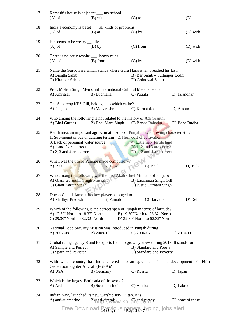| 17. | Ramesh's house is adjacent __ my school.<br>$(A)$ of                                                                                                                                                                                                         | (B) with                                  | $(C)$ to                                                                              | $(D)$ at                |
|-----|--------------------------------------------------------------------------------------------------------------------------------------------------------------------------------------------------------------------------------------------------------------|-------------------------------------------|---------------------------------------------------------------------------------------|-------------------------|
| 18. | India's economy is beset __ all kinds of problems.<br>$(A)$ of                                                                                                                                                                                               | $(B)$ at                                  | $(C)$ by                                                                              | $(D)$ with              |
| 19. | He seems to be weary $\quad$ life.<br>$(A)$ of                                                                                                                                                                                                               | $(B)$ by                                  | $(C)$ from                                                                            | $(D)$ with              |
| 20. | There is no early respite _____ heavy rains.<br>$(A)$ of                                                                                                                                                                                                     | $(B)$ from                                | $(C)$ by                                                                              | (D) with                |
| 21. | Name the Gurudwara which stands where Guru Harkrishan breathed his last.<br>A) Bangla Sahib<br>C) Kiratpur Sahib                                                                                                                                             |                                           | B) Ber Sahib - Sultanpur Lodhi<br>D) Goindwal Sahib                                   |                         |
| 22. | Prof. Mohan Singh Memorial International Cultural Mela is held at<br>A) Amritsar                                                                                                                                                                             | B) Ludhiana                               | C) Patiala                                                                            | D) Jalandhar            |
| 23. | The Supercop KPS Gill, belonged to which cadre?<br>A) Punjab                                                                                                                                                                                                 | B) Maharashra                             | C) Karnataka                                                                          | D) Assam                |
| 24. | Who among the following is not related to the history of Adi Granth?<br>A) Bhai Gurdas                                                                                                                                                                       | B) Bhai Mani Singh                        | C) Banda Bahadur                                                                      | D) Baba Budha           |
| 25. | Kandi area, an important agro-climatic zone of Punjab, has following characteristics<br>1. Sub-mountainous undulating terrain 2. High cost of cultivation<br>3. Lack of perennial water source<br>A) 1 and 2 are correct<br>C) $2$ , $3$ and $4$ are correct |                                           | 4. Extremely fertile land<br>B) 1, 2 and 3 are correct<br>D) $1, 2$ and 4 are correct |                         |
| 26. | When was the use of Punjabi made compulsory?<br>A) 1966                                                                                                                                                                                                      | B) 1967                                   | $C)$ 1990                                                                             | D) 1992                 |
| 27. | Who among the following was the first Akali Chief Minister of Punjab?<br>A) Giani Gurmukh Singh Mussafir<br>C) Giani Kartar Singh                                                                                                                            |                                           | B) Lacchman Singh Gill<br>D) Justic Gurnam Singh                                      |                         |
| 28. | Dhyan Chand, famous hockey player belonged to<br>A) Madhya Pradesh                                                                                                                                                                                           | B) Punjab                                 | C) Haryana                                                                            | D) Delhi                |
| 29. | Which of the following is the correct span of Punjab in terms of latitude?<br>A) $12.30^{\circ}$ North to $18.32^{\circ}$ North<br>C) $29.30^{\circ}$ North to $32.32^{\circ}$ North                                                                         |                                           | B) 19.30° North to 28.32° North<br>D) 39.30° North to 52.32° North                    |                         |
| 30. | National Food Security Mission was introduced in Punjab during<br>A) 2007-08                                                                                                                                                                                 | B) 2009-10                                | $C)$ 2006-07                                                                          | D) $2010-11$            |
| 31. | Global rating agency S and P expects India to grow by 6.5% during 2013. It stands for<br>A) Sample and Perfect<br>C) Spain and Pakistan                                                                                                                      |                                           | B) Standard and Poor's<br>D) Standard and Poverty                                     |                         |
| 32. | With which country has India entered into an agreement for the development of 'Fifth<br>Generation Fighter Aircraft (FGFA)?                                                                                                                                  |                                           |                                                                                       |                         |
| 33. | A) USA<br>Which is the largest Peninsula of the world?<br>A) Arabia                                                                                                                                                                                          | B) Germany<br>B) Southern India           | C) Russia<br>C) Alaska                                                                | D) Japan<br>D) Labrador |
| 34. | Indian Navy launched its new warship INS Kiltan. It is<br>A) anti-submarine                                                                                                                                                                                  | $B)$ anti-aircraft $WW$ khilf anti-piracy |                                                                                       | D) none of these        |
|     | <b>Free Download</b>                                                                                                                                                                                                                                         |                                           | Previous papers, typing, jobs alert                                                   |                         |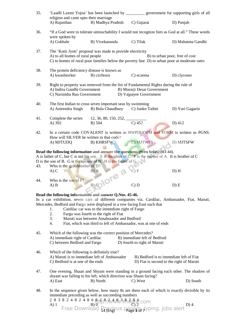| 35. | religion and caste upto their marriage                                                                                                                                                                                                                                                                                                                                                                                                                              |                                                                                                                                                                                                                                                      | 'Laadli Laxmi Yojna' has been launched by _____________ government for supporting girls of all |                   |  |
|-----|---------------------------------------------------------------------------------------------------------------------------------------------------------------------------------------------------------------------------------------------------------------------------------------------------------------------------------------------------------------------------------------------------------------------------------------------------------------------|------------------------------------------------------------------------------------------------------------------------------------------------------------------------------------------------------------------------------------------------------|------------------------------------------------------------------------------------------------|-------------------|--|
|     | A) Rajasthan                                                                                                                                                                                                                                                                                                                                                                                                                                                        | B) Madhya Pradesh                                                                                                                                                                                                                                    | C) Gujarat                                                                                     | D) Punjab         |  |
| 36. | "If a God were to tolerate untouchability I would not recognize him as God at all." These words<br>were spoken by                                                                                                                                                                                                                                                                                                                                                   |                                                                                                                                                                                                                                                      |                                                                                                |                   |  |
|     | A) Gokhale                                                                                                                                                                                                                                                                                                                                                                                                                                                          | B) Vivekananda                                                                                                                                                                                                                                       | C) Tilak                                                                                       | D) Mahatma Gandhi |  |
| 37. | The 'Kutir Jyoti' proposal was made to provide electricity<br>A) to all homes of rural people<br>B) to urban poor, free of cost<br>C) to homes of rural poor families below the poverty line D) to urban poor at moderate rates                                                                                                                                                                                                                                     |                                                                                                                                                                                                                                                      |                                                                                                |                   |  |
| 38. | The protein deficiency disease is known as<br>A) kwashiorker                                                                                                                                                                                                                                                                                                                                                                                                        | B) cirrhosis                                                                                                                                                                                                                                         | C) eczema                                                                                      | D) clycoses       |  |
| 39. | Right to property was removed from the list of Fundamental Rights during the rule of<br>A) Indira Gandhi Government<br>B) Morarji Desai Government<br>C) Narsimha Rao Government<br>D) Vajpayee Government                                                                                                                                                                                                                                                          |                                                                                                                                                                                                                                                      |                                                                                                |                   |  |
| 40. | A) Amrendra Singh                                                                                                                                                                                                                                                                                                                                                                                                                                                   | The first Indian to cross seven important seas by swimming<br>B) Bula Chaudhury                                                                                                                                                                      | C) Junko Taibei                                                                                | D) Yuri Gagarin   |  |
| 41. | Complete the series<br>A) 392                                                                                                                                                                                                                                                                                                                                                                                                                                       | $12, 36, 80, 150, 252, \underline{\hspace{1cm}}$<br>B) 504                                                                                                                                                                                           | $\overline{C}$ ) 452                                                                           | $D)$ 412          |  |
| 42. | How will SILVER be written in that code?                                                                                                                                                                                                                                                                                                                                                                                                                            | In a certain code COVALENT is written as BWPDUOFM and FORM is written as PGNS.                                                                                                                                                                       |                                                                                                |                   |  |
|     | A) MJTUDQ                                                                                                                                                                                                                                                                                                                                                                                                                                                           | <b>B) KHRSFW</b>                                                                                                                                                                                                                                     | C) MJTWFS                                                                                      | D) MJTSFW         |  |
|     |                                                                                                                                                                                                                                                                                                                                                                                                                                                                     | Read the following information and answer the questions given below (43-44).<br>A is father of C, but C is not his son. E is daughter of C. F is the spouse of A. B is brother of C<br>D is the son of B. G is the spouse of B. H is the father of G |                                                                                                |                   |  |
| 43. | Who is the grandmother of $D$ ?<br>A) C                                                                                                                                                                                                                                                                                                                                                                                                                             |                                                                                                                                                                                                                                                      | C) F                                                                                           | D) H              |  |
| 44. | Who is the son of F?<br>$A)$ $B$                                                                                                                                                                                                                                                                                                                                                                                                                                    | BICOIOTE 3                                                                                                                                                                                                                                           | C) D                                                                                           | D) E              |  |
|     |                                                                                                                                                                                                                                                                                                                                                                                                                                                                     | Read the following information and answer Q.Nos. 45-46.                                                                                                                                                                                              |                                                                                                |                   |  |
|     |                                                                                                                                                                                                                                                                                                                                                                                                                                                                     | In a car exhibition, seven cars of different companies viz. Cardilac, Ambassador, Fiat, Maruti,<br>Mercedes, Bedford and Fargo were displayed in a row facing East such that                                                                         |                                                                                                |                   |  |
|     | 1.<br>2.                                                                                                                                                                                                                                                                                                                                                                                                                                                            | Cardilac car was to the immediate right of Fargo<br>Fargo was fourth to the right of Fiat                                                                                                                                                            |                                                                                                |                   |  |
|     | 3.                                                                                                                                                                                                                                                                                                                                                                                                                                                                  | Maruti was between Amabssador and Bedford                                                                                                                                                                                                            |                                                                                                |                   |  |
|     | 4.                                                                                                                                                                                                                                                                                                                                                                                                                                                                  | Fiat, which was third to left of Ambassador, was at one of ends                                                                                                                                                                                      |                                                                                                |                   |  |
| 45. |                                                                                                                                                                                                                                                                                                                                                                                                                                                                     | Which of the following was the correct position of Mercedes?                                                                                                                                                                                         |                                                                                                |                   |  |
|     | A) immediate right of Cardilac<br>C) between Bedford and Fargo                                                                                                                                                                                                                                                                                                                                                                                                      |                                                                                                                                                                                                                                                      | B) immediate left of Bedford<br>D) fourth to right of Maruti                                   |                   |  |
| 46. | Which of the following is definitely true?<br>A) Maruti is to immediate left of Ambassador<br>C) Bedford is at one of the ends                                                                                                                                                                                                                                                                                                                                      |                                                                                                                                                                                                                                                      | B) Bedford is to immediate left of Fiat<br>D) Fiat is second to the right of Maruti            |                   |  |
| 47. | One evening, Shaan and Shyam were standing in a ground facing each other. The shadow of<br>shyam was falling to his left, which direction was Shaan facing?                                                                                                                                                                                                                                                                                                         |                                                                                                                                                                                                                                                      |                                                                                                |                   |  |
|     | A) East                                                                                                                                                                                                                                                                                                                                                                                                                                                             | B) North                                                                                                                                                                                                                                             | C) West                                                                                        | D) South          |  |
| 48. | In the sequence given below, how many 8s are there each of which is exactly divisible by its<br>immediate preceding as well as succeeding numbers<br>2 8 3 8 2 4 8 2 4 8 6 $\frac{8}{10}$ $\frac{1}{2}$ $\frac{1}{2}$ $\frac{1}{2}$ $\frac{1}{2}$ $\frac{1}{2}$ $\frac{1}{2}$ $\frac{1}{2}$ $\frac{1}{2}$ $\frac{1}{2}$ $\frac{1}{2}$ $\frac{1}{2}$ $\frac{1}{2}$ $\frac{1}{2}$ $\frac{1}{2}$ $\frac{1}{2}$ $\frac{1}{2}$ $\frac{1}{2}$ $\frac{1}{2}$ $\frac{1}{2}$ |                                                                                                                                                                                                                                                      |                                                                                                |                   |  |
|     |                                                                                                                                                                                                                                                                                                                                                                                                                                                                     |                                                                                                                                                                                                                                                      |                                                                                                | $D$ ) 4           |  |

14 (Eng) Page **3** of 7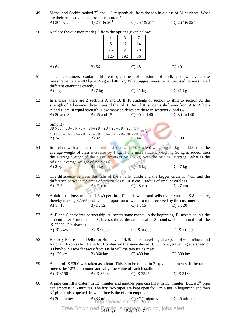- 49. Manoj and Sachin ranked  $7<sup>th</sup>$  and  $11<sup>th</sup>$  respectively from the top in a class of 31 students. What are their respective ranks from the bottom? A)  $20^{th}$  &  $24^{th}$  B)  $24^{th}$  &  $20^{th}$  C)  $25^{th}$  &  $21^{st}$  D)  $26^{th}$  &  $22^{nd}$
- $1 \mid 3 \mid 7$ 5 12 14 25 | ? | 28 125 | 192 | 56 A) 64 B) 56 C) 48 D) 40 51. Three containers contain different quantities of mixture of milk and water, whose measurements are 403 kg, 434 kg and 465 kg. What biggest measure can be used to measure all different quantities exactly? A) 1 kg B) 7 kg C) 31 kg D) 41 kg 52. In a class, there are 2 sections A and B. If 10 students of section B shift to section A, the strength of A becomes three times of that of B. But, if 10 students shift over from A to B, both A and B are in equal strength. How many students are there in sections A and B? A) 50 and 30 B) 45 and 15 C) 90 and 40 D) 80 and 40 53. Simplify  $38 \times 38 \times 38 + 34 \times 34 \times 34 + 28 \times 28 \times 28 - 38 \times 28 \times 34$  $38 \times 38 + 34 \times 34 + 28 \times 28 - 38 \times 34 - 34 \times 28 - 38 \times 28$  $=$  ? A) 24 B) 32 C) 44 D) 100 54. In a class with a certain number of students, if one student weighing 50 kg is added then the average weight of class increases by 1 kg. If one more student weighing 50 kg is added, then the average weight of the class increases by 1.5 kg over the original average. What is the original average weight of the class?<br>A)  $2 \text{ kg}$  B)  $4 \text{ kg}$ A)  $2 \text{ kg}$  B)  $4 \text{ kg}$  C)  $46 \text{ kg}$  D)  $47 \text{ kg}$ 55. The difference between the radii of the smaller circle and the bigger circle is 7 cm and the difference between the areas of two circles is 1078 cm<sup>2</sup>. Radius of smaller circle is A) 17.5 cm B) 21 cm C) 28 cm D) 27 cm 56. A dairyman buys milk at  $\bar{8}$  6.40 per litre. He adds water and sells the mixture at  $\bar{8}$  per litre, thereby making 37.5% profit. The proportion of water to milk received by the customer is A) 1 : 10 B) 1 : 12 C) 1 : 15 D) 1 : 20 57. A, B and C entre into partnership. A invests some money in the beginning, B invests double the amount after 6 months and C invests thrice the amount after 8 months. If the annual profit be ₹ 27000, C's share is<br>A) ₹ 8625 B) ₹9000 C) ₹10800 D) ₹11250 58. Bombay Express left Delhi for Bombay at 14.30 hours, travelling at a speed of 60 km/hour and Rajdhani Express left Delhi for Bombay on the same day at 16.30 hours, travelling at a speed of 80 km/hour. How far away from Delhi will the two trains meet? A) 120 km B) 360 km C) 480 km D) 500 km 59. A sum of  $\bar{\mathbf{\xi}}$  5300 was taken as a loan. This is to be repaid in 2 equal installments. If the rate of interest be 12% compound annually, the value of each installment is A) ₹3150 B) ₹3248 C) ₹3345 D) ₹3136 60. A pipe can fill a cistern in 12 minutes and another pipe can fill it in 15 minutes. But, a  $3<sup>rd</sup>$  pipe can empty it in 6 minutes. The first two pipes are kept open for 5 minutes in beginning and then 3<sup>rd</sup> pipe is also opened. In what time is the cistern emptied? A) 30 minutes B)  $33$  minutes http://www.khilare.com D) 45 minutes

50. Replace the question mark (?) from the options given below: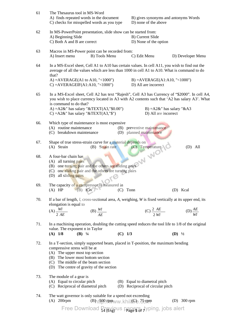| 61  | The Thesaurus tool in MS-Word<br>A) finds repeated words in the document<br>C) checks for misspelled words as you type                                                                                                                                                                        | B) gives synonyms and antonyms Words<br>D) none of the above     |                     |  |  |  |
|-----|-----------------------------------------------------------------------------------------------------------------------------------------------------------------------------------------------------------------------------------------------------------------------------------------------|------------------------------------------------------------------|---------------------|--|--|--|
| 62  | In MS-PowerPoint presentation, slide show can be started from:<br>A) Beginning Slide<br>C) Both A and B are correct                                                                                                                                                                           | B) Current Slide<br>D) None of the option                        |                     |  |  |  |
| 63  | Macros in MS-Power point can be recorded from:<br>A) Insert menu<br>B) Tools Menu                                                                                                                                                                                                             | C) Edit Menu                                                     | D) Developer Menu   |  |  |  |
| 64  | In a MS-Excel sheet, Cell A1 to A10 has certain values. In cell A11, you wish to find out the<br>average of all the values which are less than 1000 in cell A1 to A10. What is command to do<br>that?                                                                                         |                                                                  |                     |  |  |  |
|     | A) = $AVERAGE(A1 to A10, "<1000")$<br>$C$ ) = AVERAGEIF(A1:A10, "<1000")                                                                                                                                                                                                                      | $B) = AVERAGE(A1:A10, "<1000")$<br>D) All are incorrect          |                     |  |  |  |
| 65  | In a MS-Excel sheet, Cell A2 has text "Rajesh", Cell A3 has Currency of "\$2000". In cell A4,<br>you wish to place currency located in A3 with A2 contents such that 'A2 has salary A3'. What<br>is command to do that?                                                                       |                                                                  |                     |  |  |  |
|     | A) = $A2&$ " has salary " $&$ TEXT(A3,"\$0.00")<br>C) = $A2\&$ " has salary " $&$ TEXT( $A3$ ," $\$\$ ")                                                                                                                                                                                      | B) = $A2\&$ " has salary " $\&A3$<br>D) All are incorrect        |                     |  |  |  |
| 66. | Which type of maintenance is most expensive<br>(A) routine maintenance<br>(C) breakdown maintenance                                                                                                                                                                                           | (B) preventive maintenance<br>(D) planned maintenance            |                     |  |  |  |
| 67. | Shape of true stress-strain curve for a material depends on                                                                                                                                                                                                                                   |                                                                  | $(D)$ All           |  |  |  |
| 68. | (A) Strain (B) Strain rate (C) Temperature (A) all turning pairs<br>(B) one turning pairs<br>(C) one sliding pair and the others are sliding pairs<br>(C) one sliding pair and the others are sliding pairs<br>(C) one sliding pair and the others are turning pairs<br>(D) all sliding pairs |                                                                  |                     |  |  |  |
| 69. | The capacity of a compressor is measured in<br>$(B)$ KW<br>$(A)$ HP<br>(C)                                                                                                                                                                                                                    | Tonn                                                             | (D) Kcal            |  |  |  |
| 70. | If a bar of length, $l$ , cross-sectional area, $A$ , weighing, $W$ is fixed vertically at its upper end, its<br>elongation is equal to                                                                                                                                                       |                                                                  |                     |  |  |  |
|     | $(A) \frac{Wl}{2AE}$<br>(B) $\frac{Wl}{AE}$                                                                                                                                                                                                                                                   | (C) $\frac{2 \; AE}{2 \; Wi}$                                    | $(D)\frac{AE}{Wl}$  |  |  |  |
| 71. | In a machining operation, doubling the cutting speed reduces the tool life to 1/8 of the original<br>value. The exponent n in Taylor<br>$(B)$ <sup>1</sup> / <sub>4</sub><br>$(C)$ 1/3<br>$(A)$ 1/8                                                                                           |                                                                  | $(D)$ $\frac{1}{2}$ |  |  |  |
| 72. | In a T-section, simply supported beam, placed in T-position, the maximum bending<br>compressive stress will be at<br>(A) The upper most top section<br>(B) The lower most bottom section<br>(C) The middle of the beam section<br>(D) The centre of gravity of the section                    |                                                                  |                     |  |  |  |
| 73. | The module of a gear is<br>(A) Equal to circular pitch<br>(C) Reciprocal of diametral pitch                                                                                                                                                                                                   | (B) Equal to diametral pitch<br>(D) Reciprocal of circular pitch |                     |  |  |  |
| 74. | The watt governor is only suitable for a speed not exceeding<br>$(A)$ 200rpm<br>$(B)$ [ $500$ rpm ww.khil $6$ e. $5$ rpm                                                                                                                                                                      |                                                                  | $(D)$ 300 rpm       |  |  |  |

14 (Eng) Page **5** of 7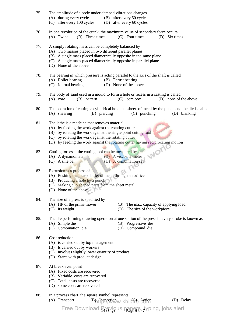- 75. The amplitude of a body under damped vibrations changes
	- (A) during every cycle (B) after every 50 cycles
	- (C) after every 100 cycles (D) after every 60 cycles
- 76. In one revolution of the crank, the maximum value of secondary force occurs (A) Twice (B) Three times (C) Four times (D) Six times
- 77. A simply rotating mass can be completely balanced by
	- (A) Two masses placed in two different parallel planes
	- (B) A single mass placed diametrically opposite in the same plane
	- (C) A single mass placed diametrically opposite in parallel plane
	- (D) None of the above
- 78. The bearing in which pressure is acting parallel to the axis of the shaft is called
	- (A) Roller bearing (B) Thrust bearing
	- (C) Journal bearing (D) None of the above
- 79. The body of sand used in a mould to form a hole or recess in a casting is called (A) core (B) pattern (C) core box (D) none of the above
- 80. The operation of cutting a cylindrical hole in a sheet of metal by the punch and the die is called (A) shearing (B) piercing (C) punching (D) blanking
- 81. The lathe is a machine that removes material
	- (A) by feeding the work against the rotating cutter
	- (B) by rotating the work against the single point cutting tool
	- (C) by rotating the work against the rotating cutter
	- (D) by feeding the work against the rotating cutter having reciprocating motion<br>Cutting forces at the cutting tool can be measured by<br>(A) A dynamometer
- 82. Cutting forces at the cutting tool can be measured by
	- (A) A dynamometer (B) A viscosity meter (C) A sine bar (D) A combination set
	- (D) A combination set
- 83. Extrusion is a process of
	- (A) Pushing the heated billet of metal through an orifice
	- (B) Producing a hole by a punch
	- (C) Making cup shaped parts from the sheet metal
	- (D) None of the above
- 84. The size of a press is specified by
	-
	- (A) HP of the prime mover (B) The max. capacity of applying load
	-
	- (C) Its weight (D) The size of the workpiece
- 85. The die performing drawing operation at one station of the press in every stroke is known as (A) Simple die (B) Progressive die
	- (C) Combination die (D) Compound die
- 86. Cost reduction
	- (A) is carried out by top management
	- (B) Is carried out by workers
	- (C) Involves slightly lower quantity of product
	- (D) Starts with product design
- 87. At break even point
	- (A) Fixed costs are recovered
	- (B) Variable costs are recovered
	- (C) Total costs are recovered
	- (D) some costs are recovered
- 88. In a process chart, the square symbol represents
- (A) Transport  $(B)$  Inspection (B) Lines (C) Delay
	-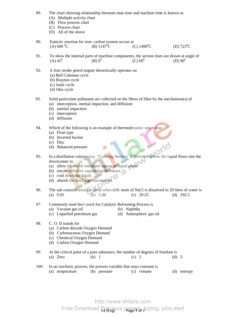89. The chart showing relationship between man time and machine time is known as (A) Multiple activity chart (B) Flow process chart (C) Process chart (D) All of the above 90. Eutectic reaction for iron- carbon system occurs at<br>
(A)  $600\degree$ C (B)  $1147\degree$ C (C (C) 1490<sup>°</sup>C (D) 723<sup>°</sup>C 91. To show the internal parts of machine components, the section lines are drawn at angle of (A)  $45^0$  (B)  $0^0$  (C)  $60^0$  (D)  $90^0$ 92. A four stroke petrol engine theoretically operates on (a) Bell Coleman cycle (b) Brayton cycle (c) Joule cycle (d) Otto cycle 93. Solid particulate pollutants are collected on the fibres of filter by the mechanism(s) of (a) interception, inertial impaction, and diffusion (b) inertial impaction (c) interception (d) diffusion 94. Which of the following is an example of thermodynamic steam trap (a) Float type (b) Inverted bucket (c) Disc (d) Balanced pressure 95. In a distillation column tray "Calming Section" is provided before the liquid flows into the downcomer to (a) allow release of entrained vapour in liquid phase (b) ensure effective vapour-liquid contact (c) cool down the liquid (d) absorb the discharge fluctuations 96. The salt concentration (in ppm) when 0.01 mole of NaCl is dissolved in 20 liters of water is<br>(a)  $0.05$ <br>(b)  $5.00$ <br>(c)  $29.25$ <br>(d)  $292.5$  (a) 0.05 (b) 5.00 (c) 29.25 (d) 292.5 97. Commonly used feed stock for Catalytic Reforming Process is (a) Vacuum gas oil (b) Naphtha (c) Liquefied petroleum gas (d) Atmospheric gas oil 98. C. O. D stands for (a) Carbon dioxide Oxygen Demand (b) Carbonaceous Oxygen Demand (c) Chemical Oxygen Demand (d) Carbon Oxygen Demand 99. At the critical point of a pure substance, the number of degrees of freedom is (a) Zero (b) 1 (c) 2 (d) 3 100. In an isochoric process, the process variable that stays constant is (a) temperature (b) pressure (c) volume (d) entropy

> Free Download Previous papers, typing, jobs alert http://www.khilare.com